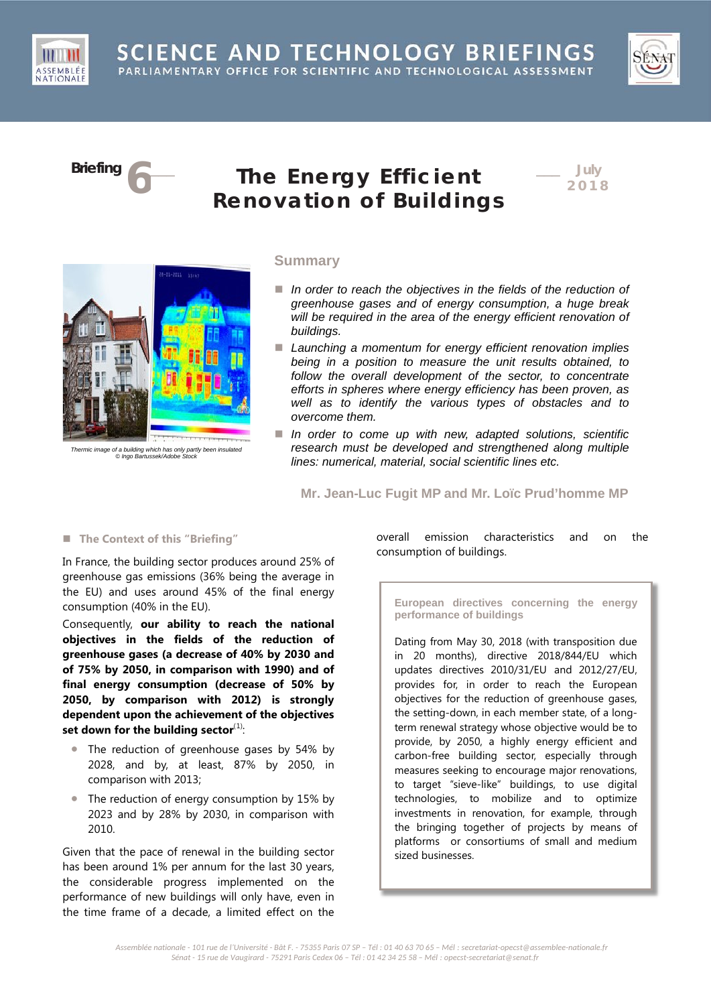SCIENCE AND TECHNOLOGY BRIEFINGS PARLIAMENTARY OFFICE FOR SCIENTIFIC AND TECHNOLOGICAL ASSESSMENT



ASSEMBLÉ NATIONAL

# **Briefing 6**\_\_\_ **The Energy Efficient Renovation of Buildings**

\_\_\_ **July 201 8**



*Thermic image of a building which has only partly been insulated © Ingo Bartussek/Adobe Stock*

## **Summary**

- In order to reach the objectives in the fields of the reduction of *greenhouse gases and of energy consumption, a huge break will be required in the area of the energy efficient renovation of buildings.*
- *Launching a momentum for energy efficient renovation implies being in a position to measure the unit results obtained, to follow the overall development of the sector, to concentrate efforts in spheres where energy efficiency has been proven, as well as to identify the various types of obstacles and to overcome them.*
- In order to come up with new, adapted solutions, scientific *research must be developed and strengthened along multiple lines: numerical, material, social scientific lines etc.*

**Mr. Jean-Luc Fugit MP and Mr. Loïc Prud'homme MP**

# **The Context of this "Briefing"**

In France, the building sector produces around 25% of greenhouse gas emissions (36% being the average in the EU) and uses around 45% of the final energy consumption (40% in the EU).

Consequently, **our ability to reach the national objectives in the fields of the reduction of greenhouse gases (a decrease of 40% by 2030 and of 75% by 2050, in comparison with 1990) and of final energy consumption (decrease of 50% by 2050, by comparison with 2012) is strongly dependent upon the achievement of the objectives**  set down for the building sector<sup>([1](#page-5-0))</sup>:

- The reduction of greenhouse gases by 54% by 2028, and by, at least, 87% by 2050, in comparison with 2013;
- The reduction of energy consumption by 15% by 2023 and by 28% by 2030, in comparison with 2010.

Given that the pace of renewal in the building sector has been around 1% per annum for the last 30 years, the considerable progress implemented on the performance of new buildings will only have, even in the time frame of a decade, a limited effect on the

overall emission characteristics and on the consumption of buildings.

**European directives concerning the energy performance of buildings**

Dating from May 30, 2018 (with transposition due in 20 months), directive 2018/844/EU which updates directives 2010/31/EU and 2012/27/EU, provides for, in order to reach the European objectives for the reduction of greenhouse gases, the setting-down, in each member state, of a longterm renewal strategy whose objective would be to provide, by 2050, a highly energy efficient and carbon-free building sector, especially through measures seeking to encourage major renovations, to target "sieve-like" buildings, to use digital technologies, to mobilize and to optimize investments in renovation, for example, through the bringing together of projects by means of platforms or consortiums of small and medium sized businesses.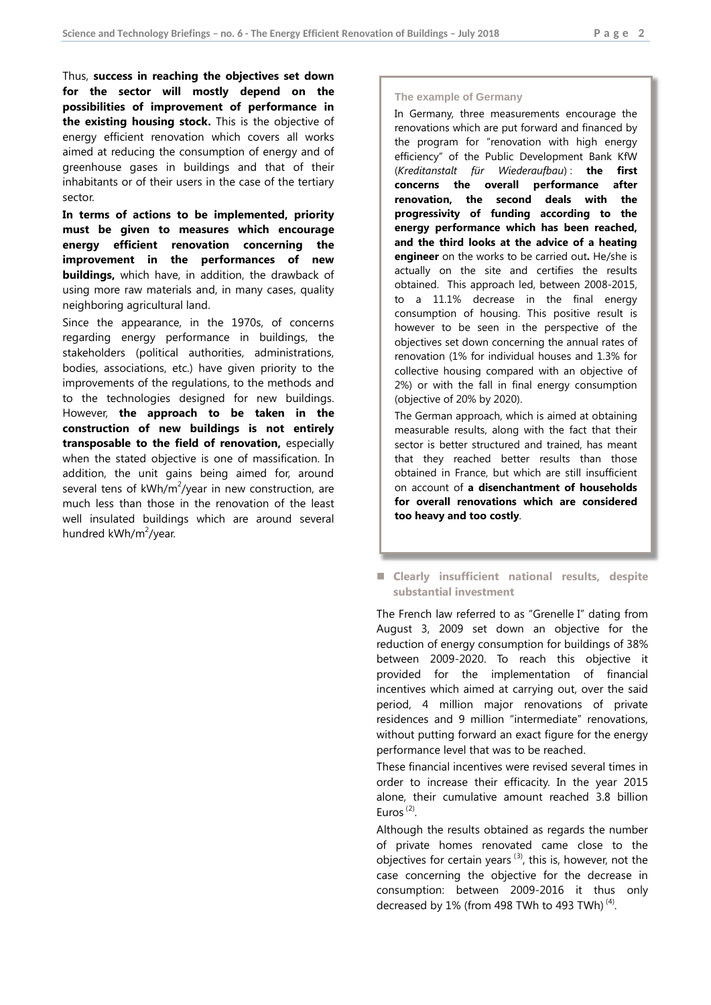Thus, **success in reaching the objectives set down for the sector will mostly depend on the possibilities of improvement of performance in the existing housing stock.** This is the objective of energy efficient renovation which covers all works aimed at reducing the consumption of energy and of greenhouse gases in buildings and that of their inhabitants or of their users in the case of the tertiary sector.

**In terms of actions to be implemented, priority must be given to measures which encourage energy efficient renovation concerning the improvement in the performances of new buildings,** which have, in addition, the drawback of using more raw materials and, in many cases, quality neighboring agricultural land.

Since the appearance, in the 1970s, of concerns regarding energy performance in buildings, the stakeholders (political authorities, administrations, bodies, associations, etc.) have given priority to the improvements of the regulations, to the methods and to the technologies designed for new buildings. However, **the approach to be taken in the construction of new buildings is not entirely transposable to the field of renovation,** especially when the stated objective is one of massification. In addition, the unit gains being aimed for, around several tens of  $kWh/m^2$ /year in new construction, are much less than those in the renovation of the least well insulated buildings which are around several hundred kWh/m<sup>2</sup>/year.

### **The example of Germany**

In Germany, three measurements encourage the renovations which are put forward and financed by the program for "renovation with high energy efficiency" of the Public Development Bank KfW (*Kreditanstalt für Wiederaufbau*) : **the first concerns the overall performance after renovation, the second deals with the progressivity of funding according to the energy performance which has been reached, and the third looks at the advice of a heating engineer** on the works to be carried out**.** He/she is actually on the site and certifies the results obtained. This approach led, between 2008-2015, to a 11.1% decrease in the final energy consumption of housing. This positive result is however to be seen in the perspective of the objectives set down concerning the annual rates of renovation (1% for individual houses and 1.3% for collective housing compared with an objective of 2%) or with the fall in final energy consumption (objective of 20% by 2020).

The German approach, which is aimed at obtaining measurable results, along with the fact that their sector is better structured and trained, has meant that they reached better results than those obtained in France, but which are still insufficient on account of **a disenchantment of households for overall renovations which are considered too heavy and too costly**.

## **Clearly insufficient national results, despite substantial investment**

The French law referred to as "Grenelle I" dating from August 3, 2009 set down an objective for the reduction of energy consumption for buildings of 38% between 2009-2020. To reach this objective it provided for the implementation of financial incentives which aimed at carrying out, over the said period, 4 million major renovations of private residences and 9 million "intermediate" renovations, without putting forward an exact figure for the energy performance level that was to be reached.

These financial incentives were revised several times in order to increase their efficacity. In the year 2015 alone, their cumulative amount reached 3.8 billion Euros<sup>([2](#page-5-1))</sup>.

Although the results obtained as regards the number of private homes renovated came close to the objectives for certain years<sup>([3](#page-5-2))</sup>, this is, however, not the case concerning the objective for the decrease in consumption: between 2009-2016 it thus only decreased by  $1\%$  (from 498 TWh to 493 TWh)<sup>([4\)](#page-5-3)</sup>.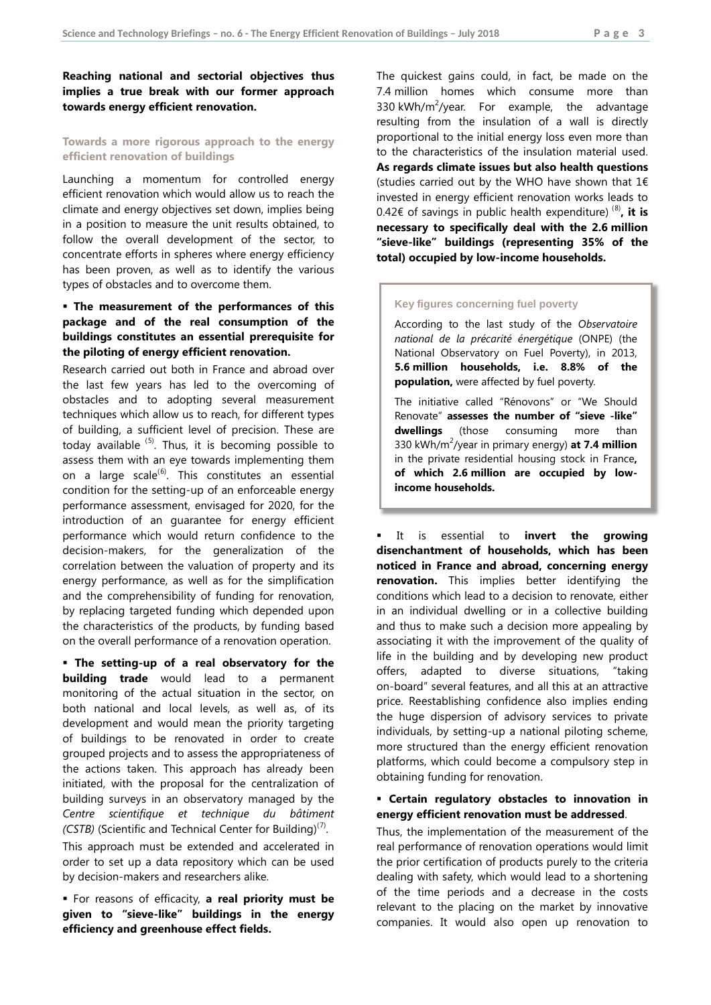**Reaching national and sectorial objectives thus implies a true break with our former approach towards energy efficient renovation.**

## **Towards a more rigorous approach to the energy efficient renovation of buildings**

Launching a momentum for controlled energy efficient renovation which would allow us to reach the climate and energy objectives set down, implies being in a position to measure the unit results obtained, to follow the overall development of the sector, to concentrate efforts in spheres where energy efficiency has been proven, as well as to identify the various types of obstacles and to overcome them.

# **The measurement of the performances of this package and of the real consumption of the buildings constitutes an essential prerequisite for the piloting of energy efficient renovation.**

Research carried out both in France and abroad over the last few years has led to the overcoming of obstacles and to adopting several measurement techniques which allow us to reach, for different types of building, a sufficient level of precision. These are today available <sup>([5](#page-5-4))</sup>. Thus, it is becoming possible to assess them with an eye towards implementing them on a large scale<sup>([6\)](#page-5-5)</sup>. This constitutes an essential condition for the setting-up of an enforceable energy performance assessment, envisaged for 2020, for the introduction of an guarantee for energy efficient performance which would return confidence to the decision-makers, for the generalization of the correlation between the valuation of property and its energy performance, as well as for the simplification and the comprehensibility of funding for renovation, by replacing targeted funding which depended upon the characteristics of the products, by funding based on the overall performance of a renovation operation.

 **The setting-up of a real observatory for the building trade** would lead to a permanent monitoring of the actual situation in the sector, on both national and local levels, as well as, of its development and would mean the priority targeting of buildings to be renovated in order to create grouped projects and to assess the appropriateness of the actions taken. This approach has already been initiated, with the proposal for the centralization of building surveys in an observatory managed by the *Centre scientifique et technique du bâtiment (CSTB)* (Scientific and Technical Center for Building)<sup>([7](#page-5-6))</sup>.

This approach must be extended and accelerated in order to set up a data repository which can be used by decision-makers and researchers alike.

 For reasons of efficacity, **a real priority must be given to "sieve-like" buildings in the energy efficiency and greenhouse effect fields.** 

The quickest gains could, in fact, be made on the 7.4 million homes which consume more than 330 kWh/m<sup>2</sup>/year. For example, the advantage resulting from the insulation of a wall is directly proportional to the initial energy loss even more than to the characteristics of the insulation material used. **As regards climate issues but also health questions** (studies carried out by the WHO have shown that  $1 \in$ invested in energy efficient renovation works leads to 0.42€ of savings in public health expenditure) ([8](#page-5-7)) **, it is necessary to specifically deal with the 2.6 million "sieve-like" buildings (representing 35% of the total) occupied by low-income households.** 

### **Key figures concerning fuel poverty**

According to the last study of the *Observatoire national de la précarité énergétique* (ONPE) (the National Observatory on Fuel Poverty), in 2013, **5.6 million households, i.e. 8.8% of the population,** were affected by fuel poverty.

The initiative called "Rénovons" or "We Should Renovate" **assesses the number of "sieve -like" dwellings** (those consuming more than 330 kWh/m<sup>2</sup> /year in primary energy) **at 7.4 million**  in the private residential housing stock in France**, of which 2.6 million are occupied by lowincome households.** 

 It is essential to **invert the growing disenchantment of households, which has been noticed in France and abroad, concerning energy renovation.** This implies better identifying the conditions which lead to a decision to renovate, either in an individual dwelling or in a collective building and thus to make such a decision more appealing by associating it with the improvement of the quality of life in the building and by developing new product offers, adapted to diverse situations, "taking on-board" several features, and all this at an attractive price. Reestablishing confidence also implies ending the huge dispersion of advisory services to private individuals, by setting-up a national piloting scheme, more structured than the energy efficient renovation platforms, which could become a compulsory step in obtaining funding for renovation.

## **Certain regulatory obstacles to innovation in energy efficient renovation must be addressed**.

Thus, the implementation of the measurement of the real performance of renovation operations would limit the prior certification of products purely to the criteria dealing with safety, which would lead to a shortening of the time periods and a decrease in the costs relevant to the placing on the market by innovative companies. It would also open up renovation to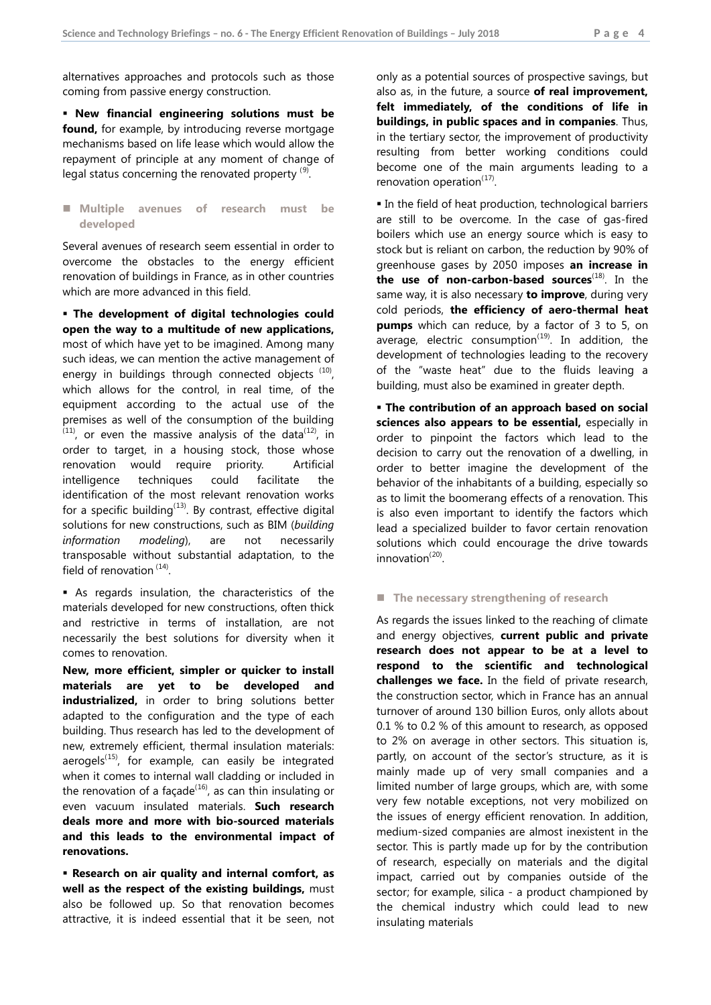alternatives approaches and protocols such as those coming from passive energy construction.

 **New financial engineering solutions must be found,** for example, by introducing reverse mortgage mechanisms based on life lease which would allow the repayment of principle at any moment of change of legal status concerning the renovated property  $^{(9)}$  $^{(9)}$  $^{(9)}$ .

 **Multiple avenues of research must be developed**

Several avenues of research seem essential in order to overcome the obstacles to the energy efficient renovation of buildings in France, as in other countries which are more advanced in this field.

 **The development of digital technologies could open the way to a multitude of new applications,**  most of which have yet to be imagined. Among many such ideas, we can mention the active management of energy in buildings through connected objects ([10](#page-5-9)), which allows for the control, in real time, of the equipment according to the actual use of the premises as well of the consumption of the building  $(11)$  $(11)$  $(11)$ , or even the massive analysis of the data $(12)$  $(12)$  $(12)$ , in order to target, in a housing stock, those whose renovation would require priority. Artificial intelligence techniques could facilitate the identification of the most relevant renovation works for a specific building<sup>([13](#page-5-12))</sup>. By contrast, effective digital solutions for new constructions, such as BIM (*building information modeling*), are not necessarily transposable without substantial adaptation, to the field of renovation<sup>([14](#page-5-13))</sup>.

 As regards insulation, the characteristics of the materials developed for new constructions, often thick and restrictive in terms of installation, are not necessarily the best solutions for diversity when it comes to renovation.

**New, more efficient, simpler or quicker to install materials are yet to be developed and industrialized,** in order to bring solutions better adapted to the configuration and the type of each building. Thus research has led to the development of new, extremely efficient, thermal insulation materials: aerogels<sup>([15\)](#page-5-14)</sup>, for example, can easily be integrated when it comes to internal wall cladding or included in the renovation of a façade $^{(16)}$  $^{(16)}$  $^{(16)}$ , as can thin insulating or even vacuum insulated materials. **Such research deals more and more with bio-sourced materials and this leads to the environmental impact of renovations.** 

 **Research on air quality and internal comfort, as well as the respect of the existing buildings,** must also be followed up. So that renovation becomes attractive, it is indeed essential that it be seen, not

only as a potential sources of prospective savings, but also as, in the future, a source **of real improvement, felt immediately, of the conditions of life in buildings, in public spaces and in companies**. Thus, in the tertiary sector, the improvement of productivity resulting from better working conditions could become one of the main arguments leading to a renovation operation<sup>([17](#page-5-16))</sup>.

In the field of heat production, technological barriers are still to be overcome. In the case of gas-fired boilers which use an energy source which is easy to stock but is reliant on carbon, the reduction by 90% of greenhouse gases by 2050 imposes **an increase in the use of non-carbon-based sources**([18\)](#page-5-17) . In the same way, it is also necessary **to improve**, during very cold periods, **the efficiency of aero-thermal heat pumps** which can reduce, by a factor of 3 to 5, on average, electric consumption<sup> $(19)$  $(19)$ </sup>. In addition, the development of technologies leading to the recovery of the "waste heat" due to the fluids leaving a building, must also be examined in greater depth.

 **The contribution of an approach based on social sciences also appears to be essential,** especially in order to pinpoint the factors which lead to the decision to carry out the renovation of a dwelling, in order to better imagine the development of the behavior of the inhabitants of a building, especially so as to limit the boomerang effects of a renovation. This is also even important to identify the factors which lead a specialized builder to favor certain renovation solutions which could encourage the drive towards innovation<sup>([20](#page-5-19))</sup>.

## ■ The necessary strengthening of research

As regards the issues linked to the reaching of climate and energy objectives, **current public and private research does not appear to be at a level to respond to the scientific and technological challenges we face.** In the field of private research, the construction sector, which in France has an annual turnover of around 130 billion Euros, only allots about 0.1 % to 0.2 % of this amount to research, as opposed to 2% on average in other sectors. This situation is, partly, on account of the sector's structure, as it is mainly made up of very small companies and a limited number of large groups, which are, with some very few notable exceptions, not very mobilized on the issues of energy efficient renovation. In addition, medium-sized companies are almost inexistent in the sector. This is partly made up for by the contribution of research, especially on materials and the digital impact, carried out by companies outside of the sector; for example, silica - a product championed by the chemical industry which could lead to new insulating materials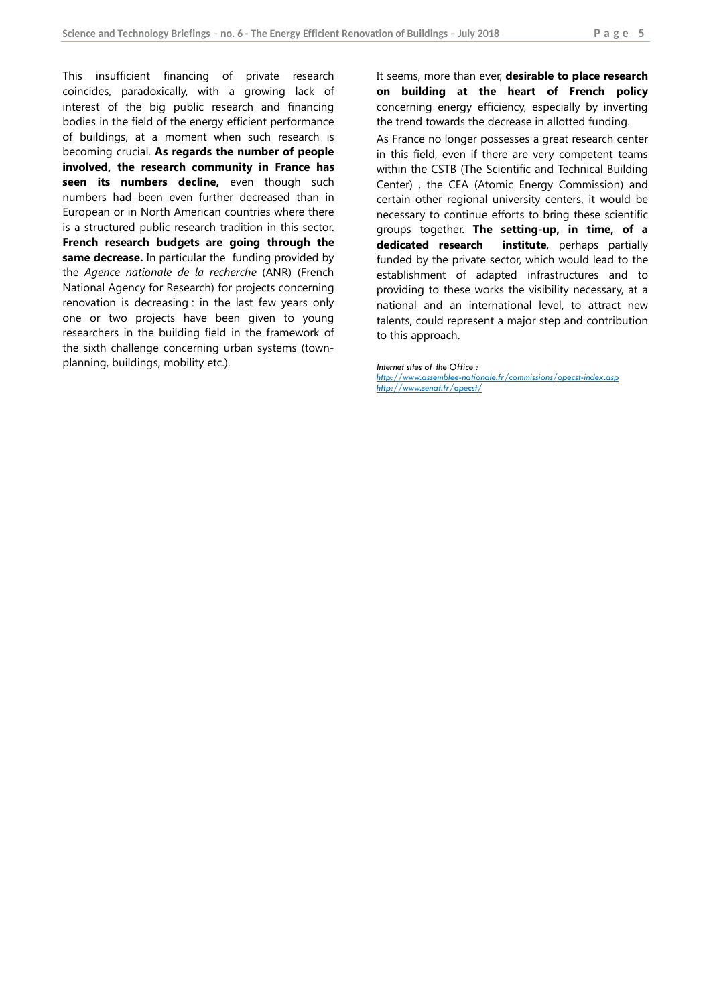This insufficient financing of private research coincides, paradoxically, with a growing lack of interest of the big public research and financing bodies in the field of the energy efficient performance of buildings, at a moment when such research is becoming crucial. **As regards the number of people involved, the research community in France has**  seen its numbers decline, even though such numbers had been even further decreased than in European or in North American countries where there is a structured public research tradition in this sector. **French research budgets are going through the same decrease.** In particular the funding provided by the *Agence nationale de la recherche* (ANR) (French National Agency for Research) for projects concerning renovation is decreasing : in the last few years only one or two projects have been given to young researchers in the building field in the framework of the sixth challenge concerning urban systems (townplanning, buildings, mobility etc.).

It seems, more than ever, **desirable to place research on building at the heart of French policy** concerning energy efficiency, especially by inverting the trend towards the decrease in allotted funding.

As France no longer possesses a great research center in this field, even if there are very competent teams within the CSTB (The Scientific and Technical Building Center) , the CEA (Atomic Energy Commission) and certain other regional university centers, it would be necessary to continue efforts to bring these scientific groups together. **The setting-up, in time, of a dedicated research institute**, perhaps partially funded by the private sector, which would lead to the establishment of adapted infrastructures and to providing to these works the visibility necessary, at a national and an international level, to attract new talents, could represent a major step and contribution to this approach.

*Internet sites of the Office : <http://www.assemblee-nationale.fr/commissions/opecst-index.asp> <http://www.senat.fr/opecst/>*